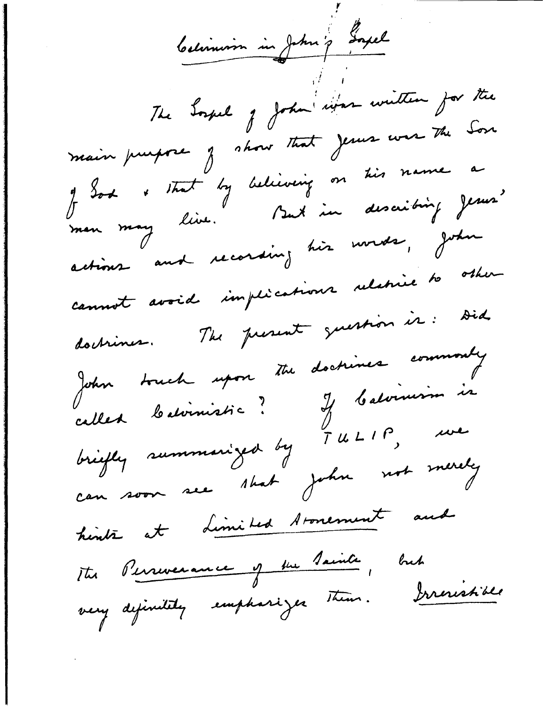Celinion in John ? Gagel The Sound of John information for the main puissone j'about that jeune was the Son y Sod & that by believing on this name a actions and recording his words, John cannot avoid implications relative to other doctriner. The present guestion is: Did John truch upon the doctrines commonly called batimistic? If batimism is<br>briefly summarized by TULIP, we can soon see shat john not merely hinte at Limited Aronement aud The Perseverance of the Tainte, but very definitity emphasizer them. Irrevishible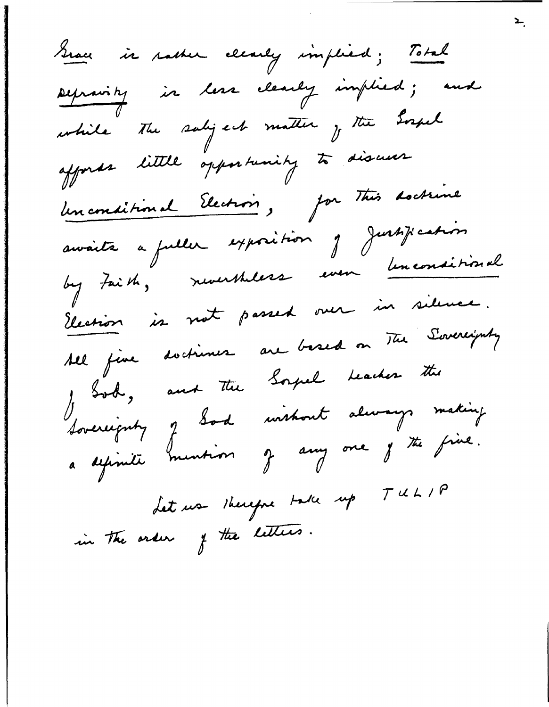Grace in nather clearly implied; Total Depravity in less clearly implied; and while The saligest matter y the Expel affords little opportunity to discuss Un conditional Electrois, par This doctrine avoite a fuller exposition je Justification by Faith, revertheless even linconsitional Election is not passed over in silence. All fine doctioner are based on The Sovereignty Josel, and the Soyal Leader the<br>Sovereignty of Sod without always making a définiti mention je any one je the fine.  $TUL/P$ Let us therefore take up in the order of the letters.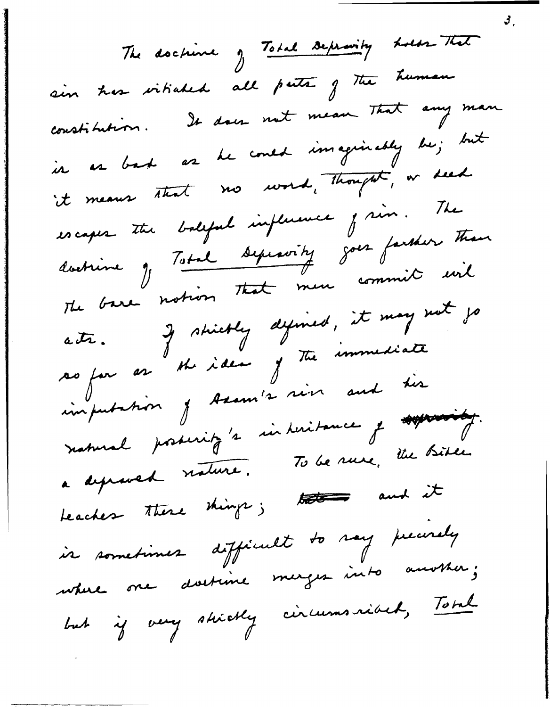The doctions of Total Depravity holds That sin her vitiated all path of the human constitution. It does not mean That any man in as bask as he could imaginably be; but it means that no word, thought, or seed escapes the balgful implement j'in. The doctrine J Total Septevity goes farsher than The base notion that men commit wil acts. If strictly defined, it may not jo so for as the idea of the immediate imputation of Assum's sin and the natural posseritz's interitance y approacht. a depressed nature. To be rure, the Bible Leacher there things; there and it is sometimes difficult to say precisely where one doetime merges into another; but if very shirtly circumsvibet, Total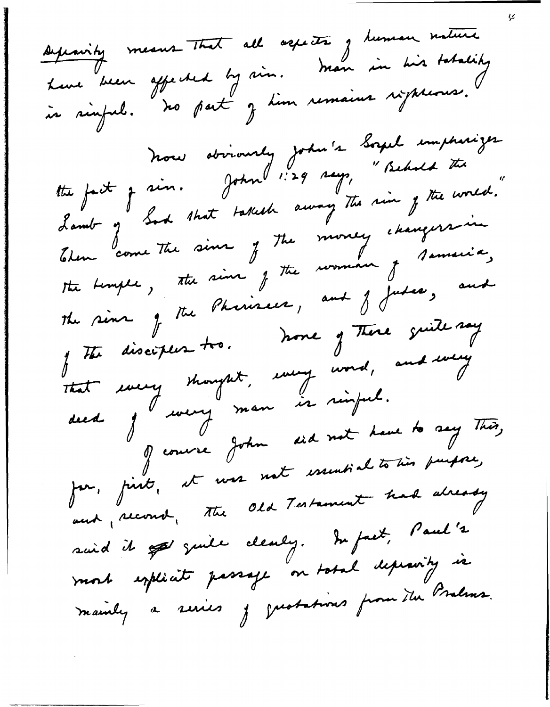sepainty means that all agreats of human nature Lune been affected by vin. Man in his tatality<br>in rinful. No part z tim remains ripheons. tte fact je sin. John 1:29 says, "Behold the "<br>9, I sin. John 1:29 says, "Behold the " Lamb of Sod that takes away The rin of the world. Then come The sine of the money changers in the Limple, the sine of the rooman of samsice, The sine of the Pheriseus, and J Judes, and The disciples tro. None of There quite say That every thought, every word, and every ded j<sup>ll</sup> men is rinjul. of course John did not have to say This, Jur, finit, et vos not essentialitoins puisse, and record, the Old Testament had already suid it appe quite clearly. In fact, Paul's mort explicit passage on total depeasity is mainly a series je gustations from the Brahms.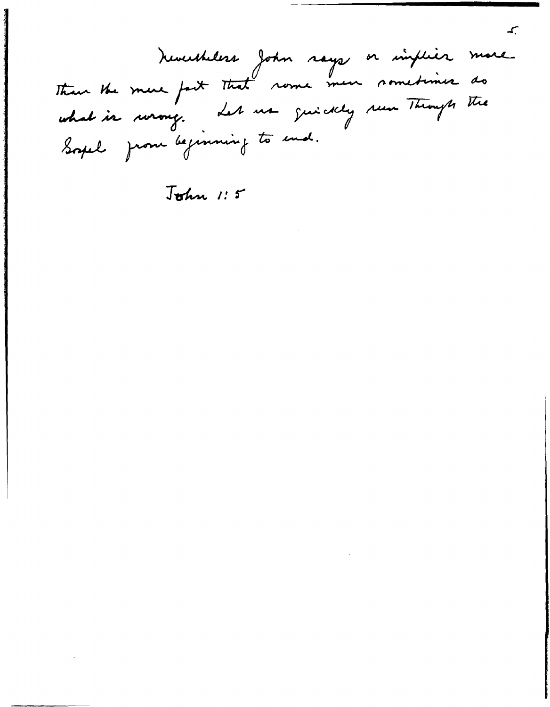Nevertheless John says or implies more what is wrong . Let us guickly run Through the Soyel from beginning to end.

John 1:5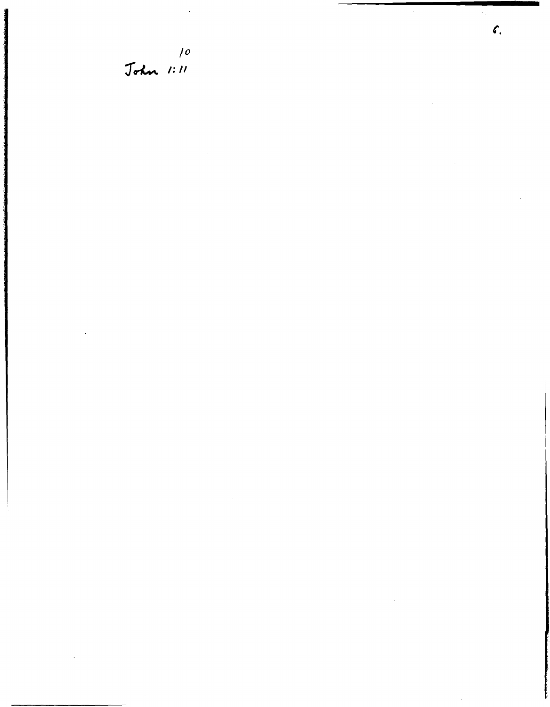10<br>John 1:11

 $\sim$   $\sim$ 

 $\bar{\omega}$ 

 $\hat{\boldsymbol{\beta}}$ 

 $\ddot{\phantom{a}}$ 

 $\mathcal{C}$ 

 $\cdot$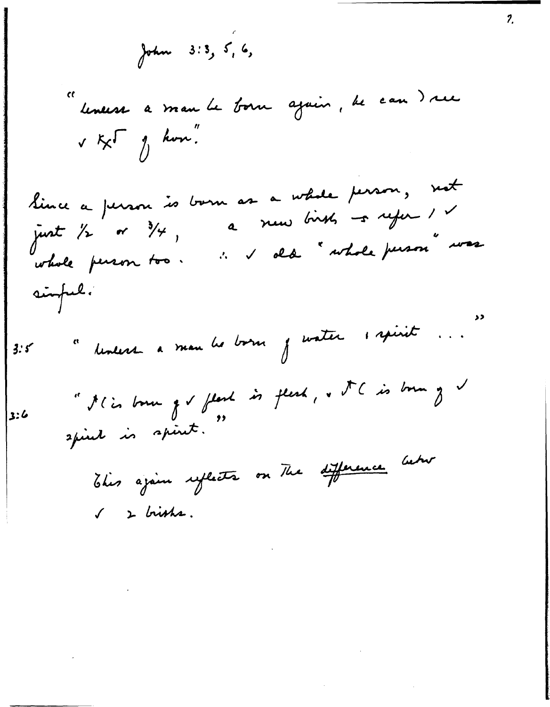John 3:3, 5, 6,

"leneess a man le born ajoin, le can dree  $\sqrt{\kappa}$  or  $\frac{1}{2}$  how.

Since a person is born as a whole person, not a new birsts -s refer 1 v just 1/2 or  $\frac{3}{4}$ , : v dd " whole person" was whole person too. simple.

" devent a man les borns j'auster 1 spirit ...  $3.5$ 

" Il is born of I flash is flesh, & I C is born of V  $3:6$ spirel is spiret. "

This again reflects on The difference between  $\sqrt{2}$  bishs.

1,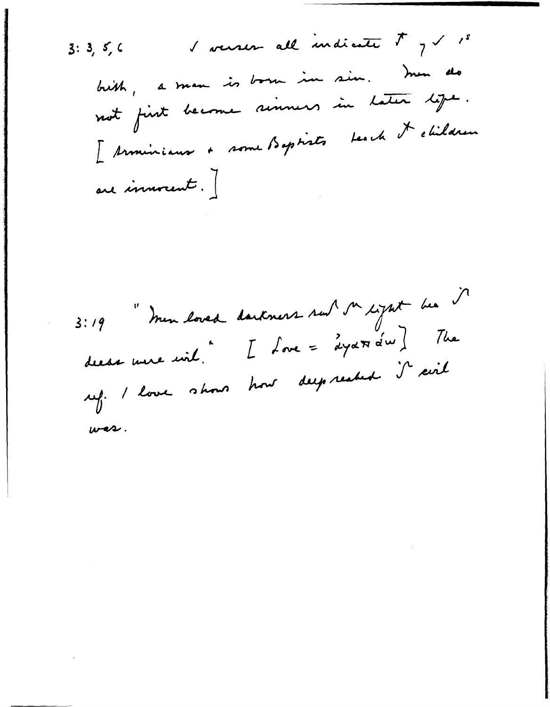I versen all indicate  $\frac{1}{2}$  1 1 s  $3:3,5,6$ brith, a man is born in sin. men do not first become simmers in Later lift. I terminique + some Baptists teach de children are immorent.]

3:19 "mon loved dantmers sur sur signit bee decas nue unit.  $L$  fore = "aya $\pi$  a' $\omega$  ) The ref. I love shows how deep realed it cirt  $w\rightarrow$ .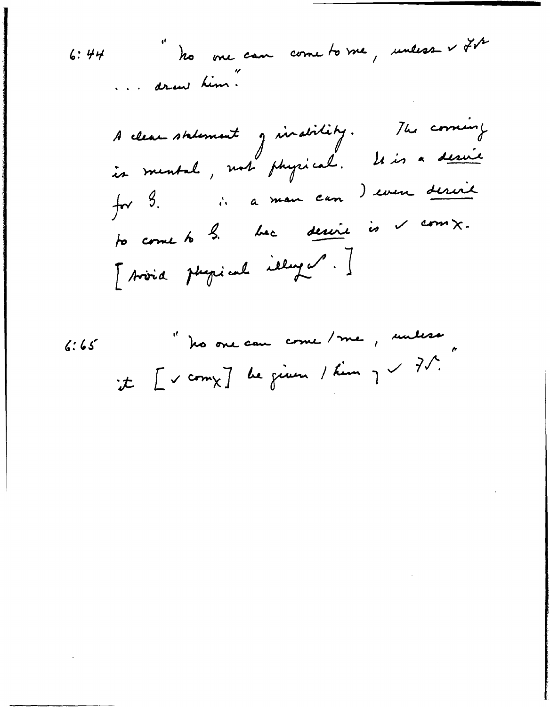6: 44   
 
$$
\frac{1}{10}
$$
  $\frac{1}{10}$   $\frac{1}{10}$   $\frac{1}{10}$   $\frac{1}{10}$   $\frac{1}{10}$   $\frac{1}{10}$   $\frac{1}{10}$   $\frac{1}{10}$   $\frac{1}{10}$   $\frac{1}{10}$   $\frac{1}{10}$   $\frac{1}{10}$   $\frac{1}{10}$   $\frac{1}{10}$   $\frac{1}{10}$   $\frac{1}{10}$   $\frac{1}{10}$   $\frac{1}{10}$   $\frac{1}{10}$   $\frac{1}{10}$   $\frac{1}{10}$   $\frac{1}{10}$   $\frac{1}{10}$   $\frac{1}{10}$   $\frac{1}{10}$   $\frac{1}{10}$   $\frac{1}{10}$   $\frac{1}{10}$   $\frac{1}{10}$   $\frac{1}{10}$   $\frac{1}{10}$   $\frac{1}{10}$   $\frac{1}{10}$   $\frac{1}{10}$   $\frac{1}{10}$   $\frac{1}{10}$   $\frac{1}{10}$   $\frac{1}{10}$   $\frac{1}{10}$   $\frac{1}{10}$   $\frac{1}{10}$   $\frac{1}{10}$   $\frac{1}{10}$   $\frac{1}{10}$   $\frac{1}{10}$   $\frac{1}{10}$   $\frac{1}{10}$   $\frac{1}{10}$   $\frac{1}{10}$   $\frac{1}{10}$   $\frac{1}{10}$   $\frac{1}{10}$   $\frac{1}{10}$   $\frac{1}{10}$   $\frac{1}{10}$   $\frac{1}{10}$   $\frac{1}{10}$   $\frac{1}{10}$   $\frac{1}{10}$   $\frac{1}{10}$   $\frac{1}{10}$   $\frac{1}{10}$  <

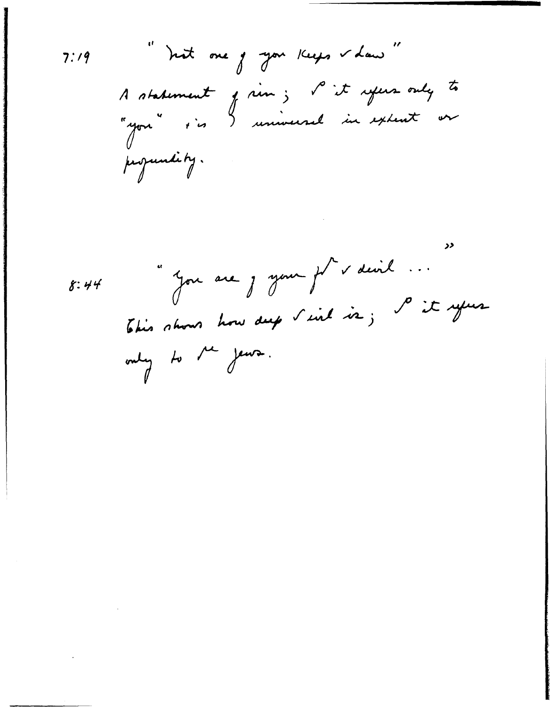در "Jou are j your fr v devil ...  $8:44$ This shows how dup I ind is; P it your only to the jews.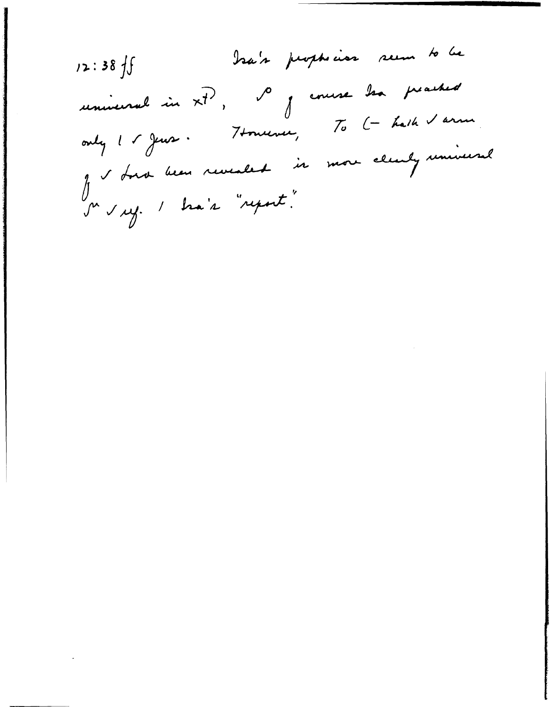bra's peoplease seem to be  $12:38 f$ universel in x7, so j'enuse les proches only 1 r Jeux. Houseux, To (- halk I arm. Je donc been revealed is more clearly remineral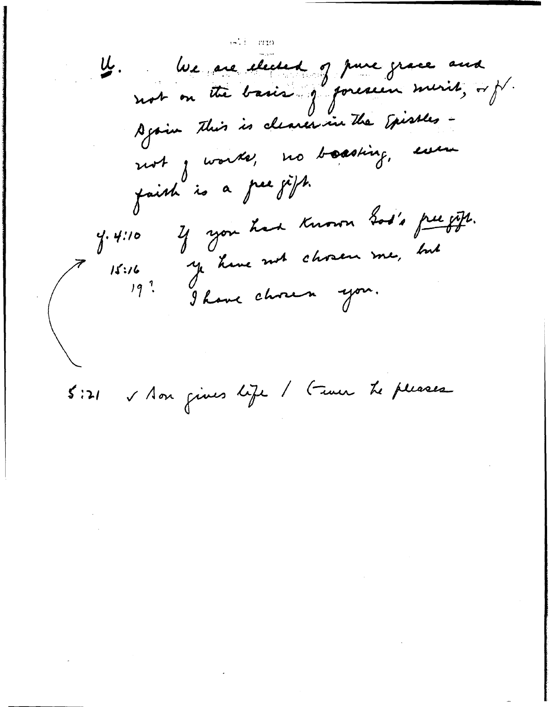lue are elected of pure grace and U. Again this is clearer in the Episses not j worke, no boasting, even faish is a gree jight. Y you had known Sod's free gift.  $4.410$ ye have not chosen me, but  $15:16$ <br> $19<sup>7</sup>$ 

S Aon gives life / Fever Le pleases  $5:21$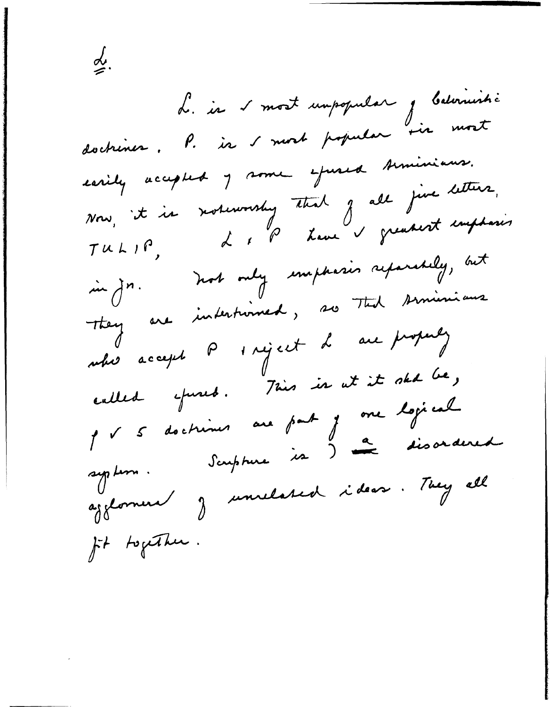d. in s'most umpopular j balvinistic doctrines. P. is I most popular sir most earily accepted 7 some effected Aminiaus. Now, it is notworship that of all just letters.<br>TULIP, LIP have a greatest emphasis in jn. not only emphasis reparably, but They are inderturned, so That similarisme uhis accept  $\rho$  s réject d'au proprez called epised. This is at it skd be, p v 5 doctrines au part j one logical agglornere J unilated ideas. They all fit together.

≰.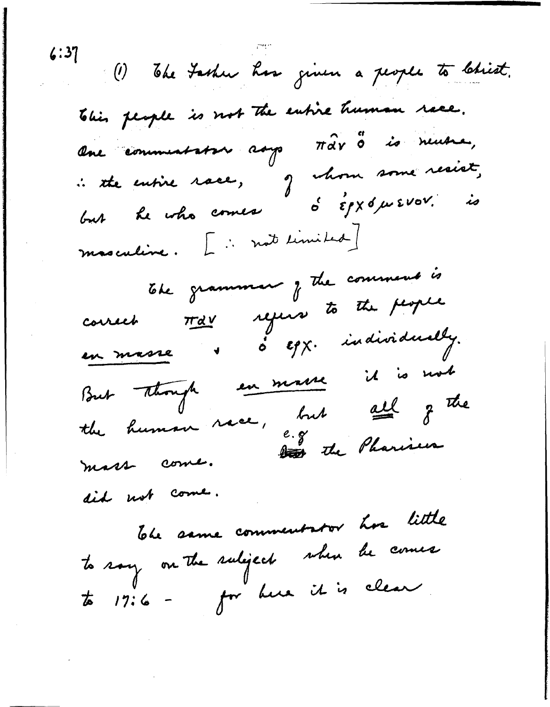(1) The Fasher has given a people to Christ. This people is not the entire human race. One communistrie ray Mar 3 is neuena,<br>: the entire race, of chom some resist,<br>but he who comes 6 Epx 6 w EVOV. is masculine. L'instrumited] The grammer of the comment is courset trav rejeir to the people en masse d' o Egg. individually. But Though en maire il is mot the human race, but cell of the mass come. did not come. The same commentator has little to say on the subject when he comes to 17:6 - for hun it is clear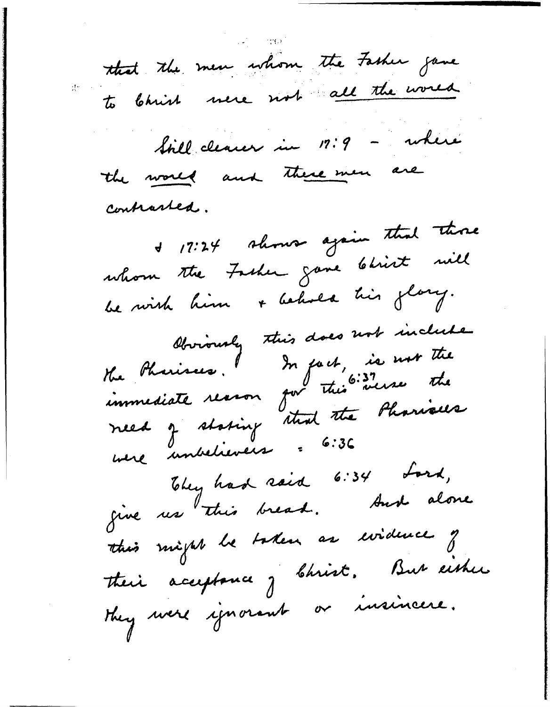that the men whom the Fasher game to bhish mere not all the world Still clearer in 17:9 - where the world and there were are contrasted. + 17:24 shows again that those whom the Fasher gave Christ will be with him + behold his glory. bbviously this does not include need z stating staat the Pharisees They had said 6:34 Lord, give us this bread. And alone this might be taken as widerce of their acceptance of Christ, But either they were ignorant or insincere.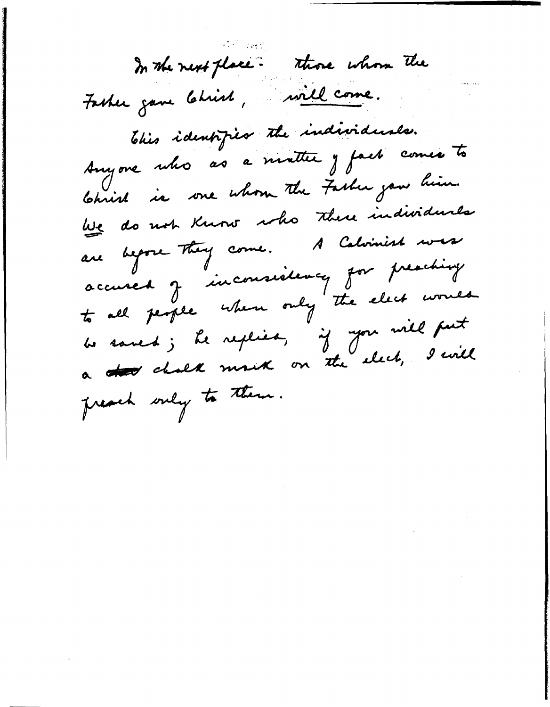In the next place. Those whom the Fasher gave Christ, will come. This identified the individuals. Anyone who as a matter y fact comes to Christ is one whom the Fasher you him. We do not Know who there individuals are begone They come. A Calvinist was accused J inconsistency for preaching to all people when only the elect would be saved; le replies, if you will put a too chalk most on the elect, I will preach only to them.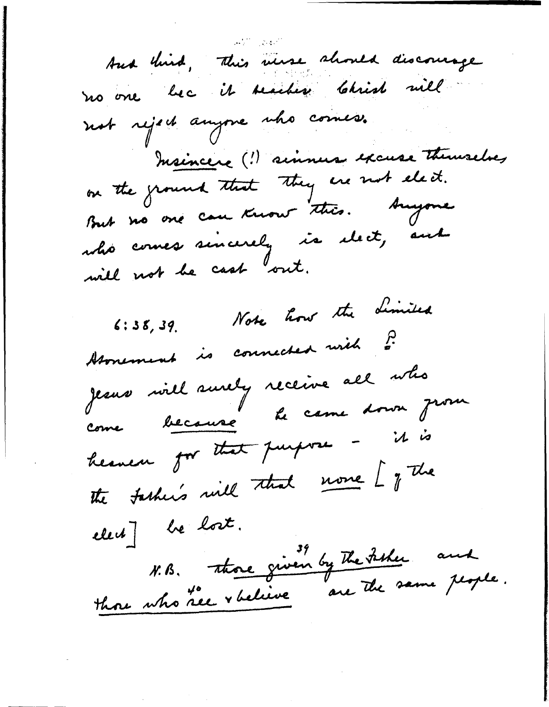And third, This werse should discourage no one bec it seacher Christ will not reject anyone who comes. Insincere (!) sinners excuse themselves But no one can know this. Anyone who comes sincerely is elect, and will not be cash out. 6:38,39. Note how the dimited Homement is connected with ? Jeans will surely receive all who come because le ceme donne prou heaven for that purpose - it is the tasher's will that more [ of the elect] be lost. N. B. those given by The Fisher and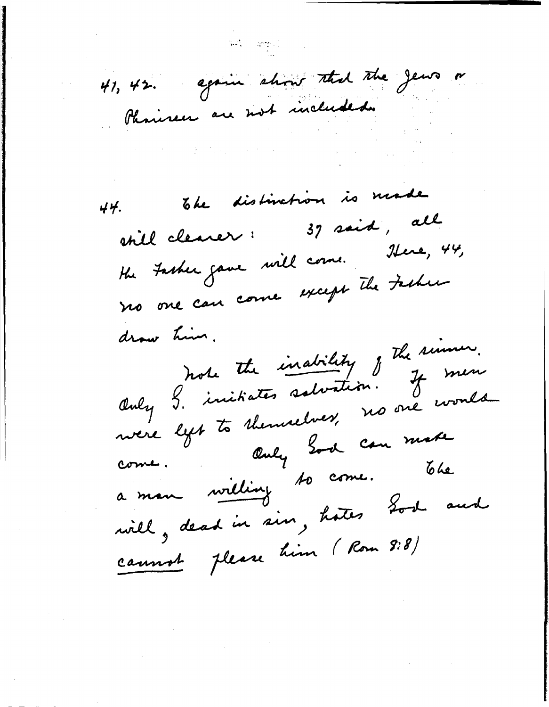41, 42. again show that the Jews or Phonicen are not included.

The distinction is made 44. 37 said, all still clearer: the Fasher gave will come. Here, 44, no one can come except the Father Only 9. initiates salvation. Il simon.<br>Only 9. initiates salvation. If men drow him. Only God can make come. a man willing to come. The will, dead in sin, hoter Lost and cannot please him (Rom 9:8)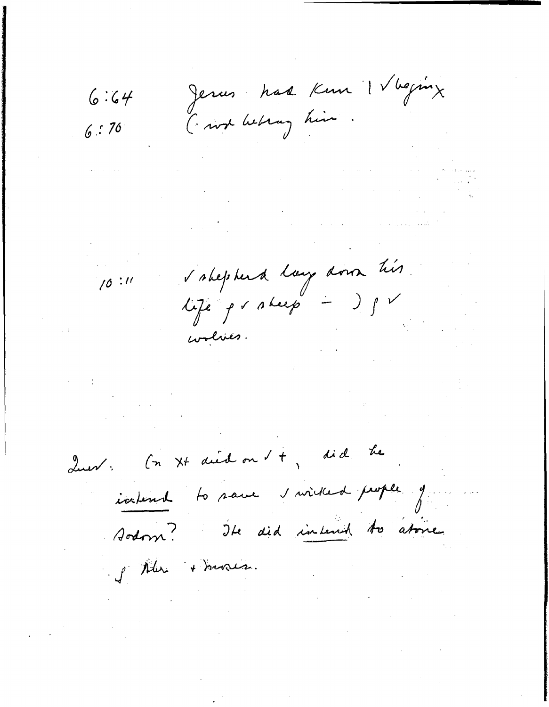$6:64$ 

 $1/0:11$ 

Jerus had Kun IV beging I won belong him.

 $6:76$ 

 $\label{eq:2.1} \frac{1}{2}\sum_{i=1}^n\frac{1}{2}\sum_{j=1}^n\frac{1}{2}\sum_{j=1}^n\frac{1}{2}\sum_{j=1}^n\frac{1}{2}\sum_{j=1}^n\frac{1}{2}\sum_{j=1}^n\frac{1}{2}\sum_{j=1}^n\frac{1}{2}\sum_{j=1}^n\frac{1}{2}\sum_{j=1}^n\frac{1}{2}\sum_{j=1}^n\frac{1}{2}\sum_{j=1}^n\frac{1}{2}\sum_{j=1}^n\frac{1}{2}\sum_{j=1}^n\frac{1}{2}\sum_{j=1}^n\$ 

 $\mathcal{L}_{\mathcal{A}}$  , and the second constraint in the constraint of the second constraint  $\mathcal{A}$ 

s shepherd lay down his. life probeep - ISV

coolives.

Quest : (n Xt died on t +, did he

iatend to save s'irised pope g sodom? Ite did intend to atone

I Mar + mores.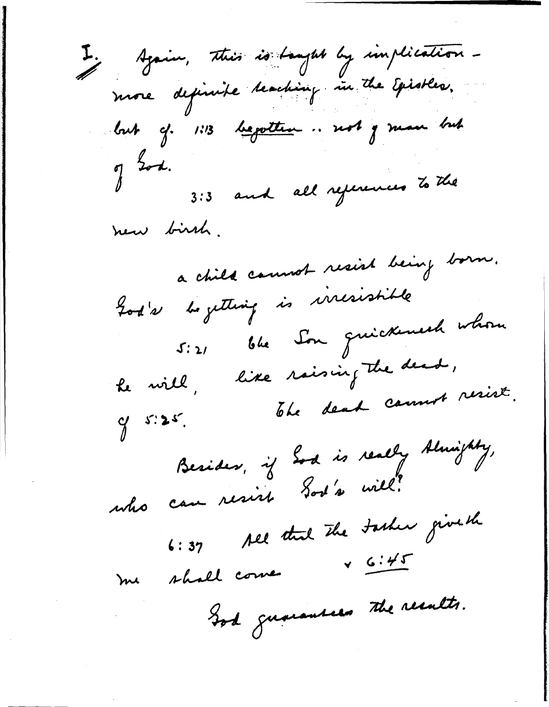I. Again, this is taught by implication more depinite teaching in the Episters. but cf. 1:13 bepotten... not y man but  $\n *J*$ 3:3 and all references to the new birsh. a child cannot resist being born. God's begetting is incristible 5:21 ble Son guickement whom he will, like raising the dead, of 5:25. The dead count resist. Besides, if Sod is really Almighty,<br>who can resist Sod's will. 6:37 All that the tasher give the shall come v 6:45 me God guarantees the results.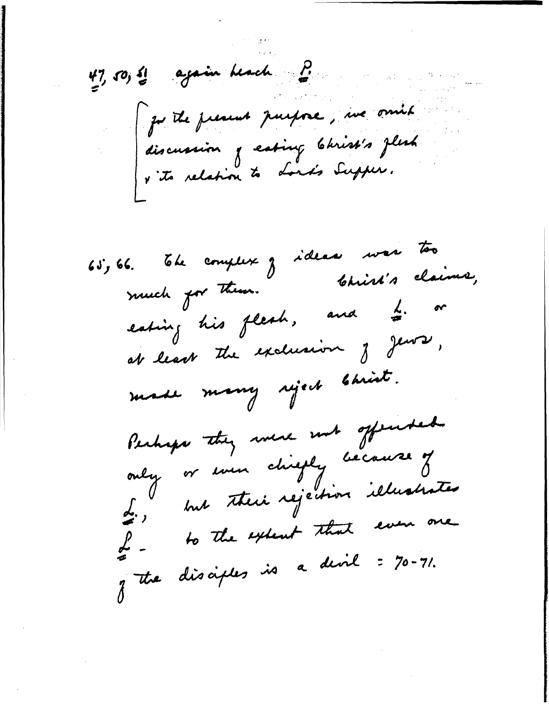$47, 50, 4$  again beach  $P$ ju the present purpose, me omit discussion of eating Christ's flesh<br>v its relation to Lord's Supper.

65, 66. The complex of ideas was too eating his flesh, and  $\frac{1}{\tilde{\sigma}}$ . or at least the exclusion of Jews, made many siject bhist. Perhaps they were not offended only or even chiefly because of L., but their rejection illustrates of - to the extent that even one of the disciples is a divil : 70-71.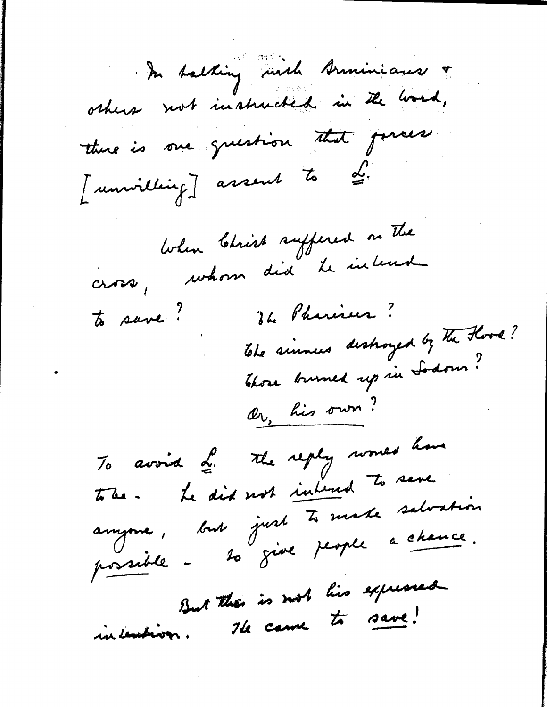In talking with Arminians + others not instructed in the word, there is one question that parces [unwilling] assent to di. When Christ suffered on The cross, whom did le intend The Pharises? to save! The simules destroyed by The Hood? Those burned up in Sodom? Or, his own? To avoid L. The reply works have tobe. Le dit not inhered to save anyone, but just to make salvation But then is not his expressed intention. He came to save!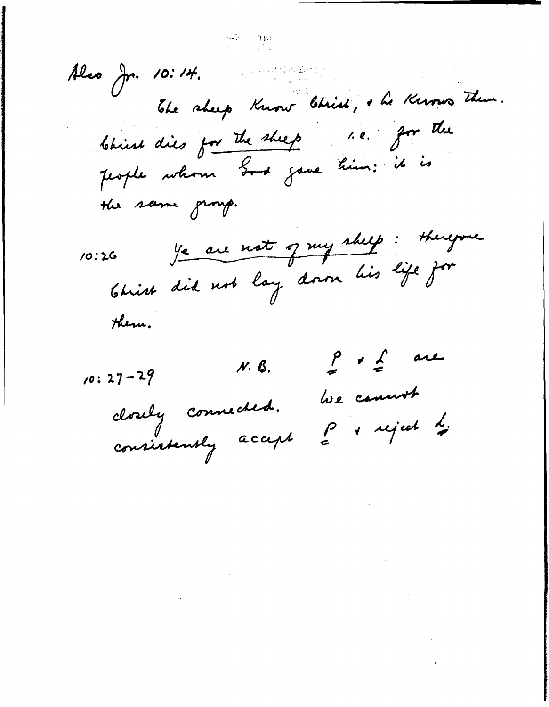a tanàna amin'ny<br>Ny INSEE dia mampiasa Also Jr. 10:14. The sheep Know Chich, he Knows Them. Christ dies for the sheep 1.e. for the people whom God gave him: it is the same group. Je are not og my skelp: therefore  $10:26$ Christ did not lay down his life for

them.

 $\int_{a}^{b} f(x) dx$  $N.$   $\beta$ .  $10:27-29$ We cannot closely connected. P sujet 2 consistently accept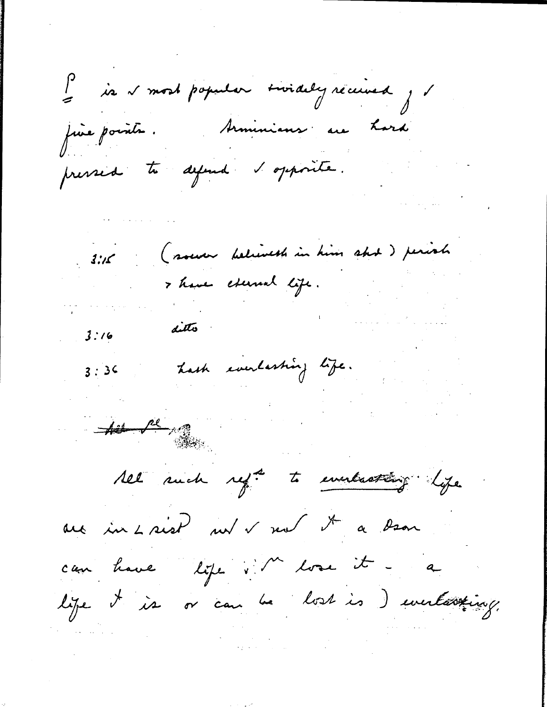P is v most popular sivialy réceived, fine pointe. Arminians au Lard pressed to defend & opposite. (sour believest in him shot) perioh  $3:1$ Thave exercise life. ditto  $3:16$ hash everlasting life.  $3:36$ 

 $\frac{1}{\sqrt{2}}$ 

All such reft to everlatting life

au in Laist nu v nu d'a ban

can have life i M lose it - a lige it is or can be lost is ) unestating.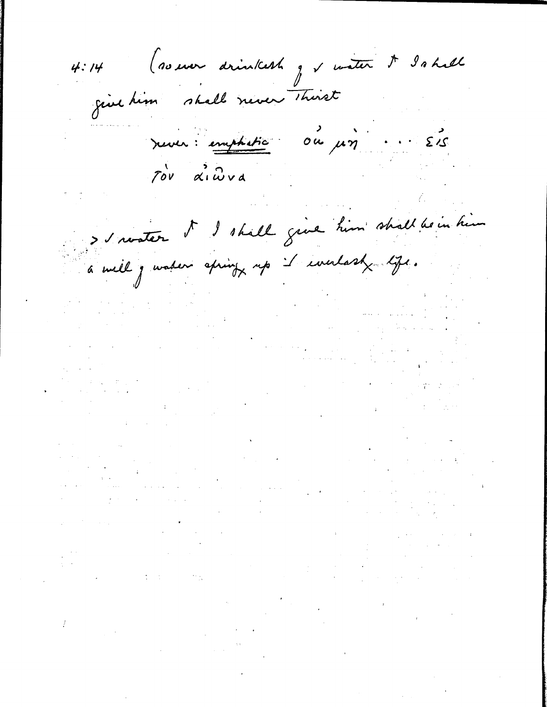(so ever drinkest g s water & Ishall  $4:14$ give him shall never thirst rever: emphatic du pin... Els > savater S d'hill give him shall be in him a well je valer apring up it everlast life.  $\label{eq:2.1} \begin{split} \mathcal{L}_{\text{max}}(\mathcal{L}_{\text{max}}) = \mathcal{L}_{\text{max}}(\mathcal{L}_{\text{max}}) \end{split}$  $\label{eq:2.1} \mathcal{L}_{\mathcal{A}}(\mathcal{A}) = \mathcal{L}_{\mathcal{A}}(\mathcal{A}) = \frac{1}{2} \mathcal{L}_{\mathcal{A}}(\mathcal{A}) + \mathcal{L}_{\mathcal{A}}(\mathcal{A}) = \mathcal{L}_{\mathcal{A}}(\mathcal{A})$ 

 $\mathcal{L}_{\text{max}}$  and  $\mathcal{L}_{\text{max}}$  and  $\mathcal{L}_{\text{max}}$  and  $\mathcal{L}_{\text{max}}$ 

 $\label{eq:2.1} \mathcal{L}(\mathbf{u}) = \mathcal{L}(\mathbf{u}) + \mathcal{L}(\mathbf{u}) = \mathcal{L}(\mathbf{u}) + \frac{\mathbf{u}}{\mathbf{u}} \mathbf{u} + \frac{\mathbf{u}}{\mathbf{u}} \mathbf{u} + \mathbf{u}$  $\mathcal{L}^{\mathcal{L}}(\mathcal{L}^{\mathcal{L}})$  . The contribution of  $\mathcal{L}^{\mathcal{L}}(\mathcal{L}^{\mathcal{L}})$ 

 $\mathcal{O}(\mathcal{A})$  and  $\mathcal{O}(\mathcal{O})$  are the properties of the set of  $\mathcal{O}(\mathcal{A})$ 

 $\label{eq:2.1} \frac{1}{\sqrt{2\pi}}\int_{0}^{\infty}\frac{1}{\sqrt{2\pi}}\left(\frac{1}{\sqrt{2\pi}}\right)^{2}e^{-\frac{1}{2}\left(\frac{1}{\sqrt{2\pi}}\right)}\frac{1}{\sqrt{2\pi}}\int_{0}^{\infty}\frac{1}{\sqrt{2\pi}}\frac{e^{-\frac{1}{2}\left(\frac{1}{\sqrt{2\pi}}\right)}}{\sqrt{2\pi}}\frac{e^{-\frac{1}{2}\left(\frac{1}{\sqrt{2\pi}}\right)}}{e^{-\frac{1}{2}\left(\frac{1}{\sqrt{2\pi}}\right)}}\frac{e^{-\frac{1}{2$ 

 $\label{eq:2} \mathcal{L}_{\text{max}}(\mathcal{L}_{\text{max}}(\mathbf{r}))$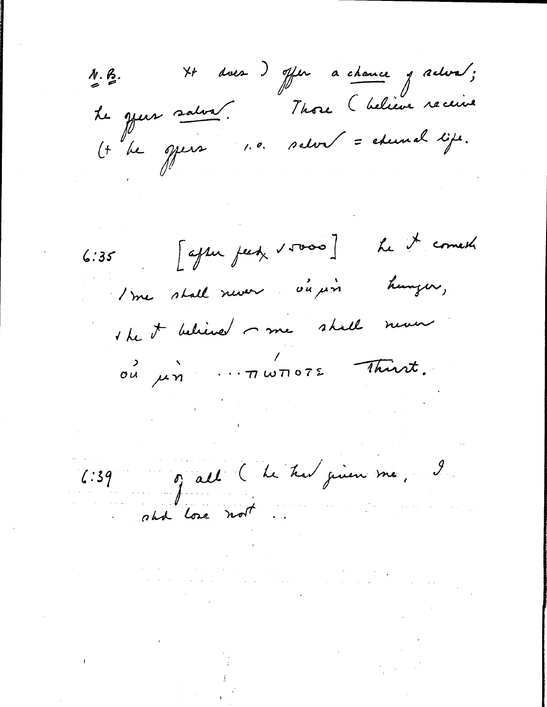N.B. XX dues ) offer a chance y releva,<br>Le grees salva. Those (believe receive  $\frac{\lambda}{2}$ . B.  $(t$  be opera 1.0. salva = edennal life.

6:35 [after feet  $\sqrt{10000}$ ] he it comests 1 me stall never ou pris hunger,

the it believed me shall neuer

OU un immore thant.

6:39 of all (he had given me, 9

 $\mathcal{A}^{\mathcal{A}}$  and the second constraint in the constraint of the second constraint  $\mathcal{A}^{\mathcal{A}}$ 

 $\mathcal{O}(\mathcal{O}(\mathcal{O}(\log n)^{1/2}))$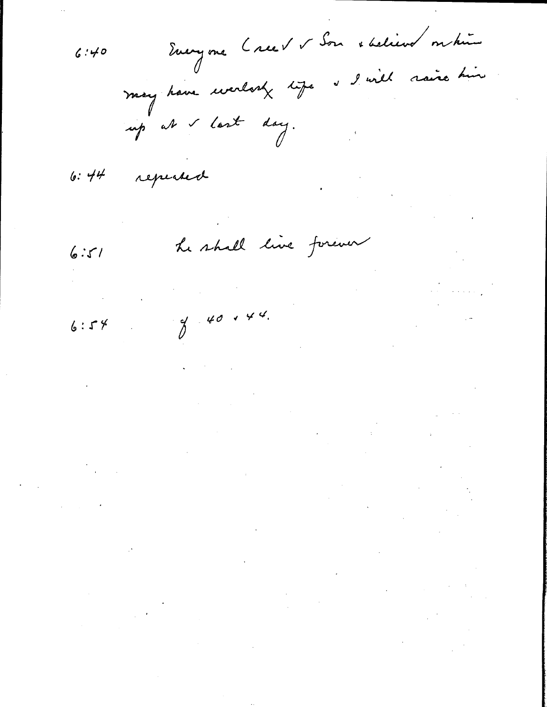Everyone Creev v Son staliens on hui  $6:40$ I will raise him may have worlook life up at & last day.

repeated  $6:44$ 

he shall live forever  $6:51$ 

 $\label{eq:2} \frac{1}{\sqrt{2}}\int_{\mathbb{R}^3}\frac{1}{\sqrt{2}}\left(\frac{1}{\sqrt{2}}\right)^2\frac{1}{\sqrt{2}}\left(\frac{1}{\sqrt{2}}\right)^2\frac{1}{\sqrt{2}}\left(\frac{1}{\sqrt{2}}\right)^2\frac{1}{\sqrt{2}}\left(\frac{1}{\sqrt{2}}\right)^2.$  $\label{eq:2} \left\langle \left\langle \hat{a}^{\dagger} \hat{a}^{\dagger} \right\rangle \right\rangle = \left\langle \hat{a}^{\dagger} \hat{a}^{\dagger} \hat{a}^{\dagger} \hat{a}^{\dagger} \right\rangle \left\langle \hat{a}^{\dagger} \right\rangle$  $840144$  $\label{eq:2.1} \frac{1}{\sqrt{2}}\int_{\mathbb{R}^3} \frac{1}{\sqrt{2}}\left(\frac{1}{\sqrt{2}}\right)^2\frac{1}{\sqrt{2}}\left(\frac{1}{\sqrt{2}}\right)^2\frac{1}{\sqrt{2}}\frac{1}{\sqrt{2}}\frac{1}{\sqrt{2}}\frac{1}{\sqrt{2}}\frac{1}{\sqrt{2}}\frac{1}{\sqrt{2}}\frac{1}{\sqrt{2}}\frac{1}{\sqrt{2}}\frac{1}{\sqrt{2}}\frac{1}{\sqrt{2}}\frac{1}{\sqrt{2}}\frac{1}{\sqrt{2}}\frac{1}{\sqrt{2}}\frac{1}{\sqrt$ 

 $\mathcal{L}^{\text{max}}_{\text{max}}$  and  $\mathcal{L}^{\text{max}}_{\text{max}}$ 

 $6:54$ 

 $\label{eq:2.1} \frac{1}{2} \sum_{i=1}^n \frac{1}{2} \sum_{j=1}^n \frac{1}{2} \sum_{j=1}^n \frac{1}{2} \sum_{j=1}^n \frac{1}{2} \sum_{j=1}^n \frac{1}{2} \sum_{j=1}^n \frac{1}{2} \sum_{j=1}^n \frac{1}{2} \sum_{j=1}^n \frac{1}{2} \sum_{j=1}^n \frac{1}{2} \sum_{j=1}^n \frac{1}{2} \sum_{j=1}^n \frac{1}{2} \sum_{j=1}^n \frac{1}{2} \sum_{j=1}^n \frac{$  $\label{eq:2.1} \frac{1}{\sqrt{2}}\int_{\mathbb{R}^3}\frac{d\mu}{\mu}\left(\frac{d\mu}{\mu}\right)^2\frac{d\mu}{\mu}\left(\frac{d\mu}{\mu}\right)^2\frac{d\mu}{\mu}\left(\frac{d\mu}{\mu}\right)^2\frac{d\mu}{\mu}\left(\frac{d\mu}{\mu}\right)^2.$  $\label{eq:2.1} \begin{split} \mathcal{L}_{\text{max}}(\mathcal{L}_{\text{max}}) = \mathcal{L}_{\text{max}}(\mathcal{L}_{\text{max}}) \mathcal{L}_{\text{max}}(\mathcal{L}_{\text{max}}) \\ = \mathcal{L}_{\text{max}}(\mathcal{L}_{\text{max}}) \mathcal{L}_{\text{max}}(\mathcal{L}_{\text{max}}) \mathcal{L}_{\text{max}}(\mathcal{L}_{\text{max}}) \mathcal{L}_{\text{max}}(\mathcal{L}_{\text{max}}) \mathcal{L}_{\text{max}}(\mathcal{L}_{\text{max}}) \mathcal{L}_{\text{max}}(\mathcal{L}_{\text$ 

 $\label{eq:2.1} \frac{1}{\sqrt{2}}\int_{\mathbb{R}^3}\frac{1}{\sqrt{2}}\left(\frac{1}{\sqrt{2}}\right)^2\frac{1}{\sqrt{2}}\left(\frac{1}{\sqrt{2}}\right)^2\frac{1}{\sqrt{2}}\left(\frac{1}{\sqrt{2}}\right)^2\frac{1}{\sqrt{2}}\left(\frac{1}{\sqrt{2}}\right)^2.$  $\label{eq:2.1} \mathcal{L}_{\text{max}}(\mathcal{L}_{\text{max}}) = \mathcal{L}_{\text{max}}(\mathcal{L}_{\text{max}})$  $\label{eq:2.1} \mathcal{L}(\mathcal{A}) = \mathcal{L}(\mathcal{A}) = \mathcal{L}(\mathcal{A})$  $\label{eq:2.1} \frac{1}{\sqrt{2}}\int_{\mathbb{R}^3}\frac{1}{\sqrt{2}}\left(\frac{1}{\sqrt{2}}\right)^2\frac{1}{\sqrt{2}}\left(\frac{1}{\sqrt{2}}\right)^2\frac{1}{\sqrt{2}}\left(\frac{1}{\sqrt{2}}\right)^2\frac{1}{\sqrt{2}}\left(\frac{1}{\sqrt{2}}\right)^2.$ 

 $\label{eq:2.1} \frac{1}{\sqrt{2\pi}}\int_{0}^{\infty}\frac{1}{\sqrt{2\pi}}\left(\frac{1}{\sqrt{2\pi}}\int_{0}^{\infty}\frac{1}{\sqrt{2\pi}}\left(\frac{1}{\sqrt{2\pi}}\right)^{2}e^{-\frac{1}{2}\left(\frac{1}{\sqrt{2\pi}}\right)}\frac{1}{\sqrt{2\pi}}\right)\frac{1}{\sqrt{2\pi}}\frac{1}{\sqrt{2\pi}}\frac{1}{\sqrt{2\pi}}\frac{1}{\sqrt{2\pi}}\frac{1}{\sqrt{2\pi}}\frac{1}{\sqrt{2\pi}}\frac{1}{\sqrt{2\pi}}$  $\label{eq:2} \frac{1}{\sqrt{2}}\sum_{i=1}^n\frac{1}{\sqrt{2}}\sum_{i=1}^n\frac{1}{\sqrt{2}}\sum_{i=1}^n\frac{1}{\sqrt{2}}\sum_{i=1}^n\frac{1}{\sqrt{2}}\sum_{i=1}^n\frac{1}{\sqrt{2}}\sum_{i=1}^n\frac{1}{\sqrt{2}}\sum_{i=1}^n\frac{1}{\sqrt{2}}\sum_{i=1}^n\frac{1}{\sqrt{2}}\sum_{i=1}^n\frac{1}{\sqrt{2}}\sum_{i=1}^n\frac{1}{\sqrt{2}}\sum_{i=1}^n\frac{1$  $\label{eq:2.1} \frac{1}{\sqrt{2}}\int_{0}^{\infty}\frac{1}{\sqrt{2\pi}}\left(\frac{1}{\sqrt{2\pi}}\right)^{2}d\mu_{\rm{eff}}\,d\mu_{\rm{eff}}$  $\label{eq:2.1} \frac{1}{\sqrt{2\pi}}\int_{0}^{\infty}\frac{1}{\sqrt{2\pi}}\left(\frac{1}{\sqrt{2\pi}}\right)^{2\alpha} \frac{1}{\sqrt{2\pi}}\int_{0}^{\infty}\frac{1}{\sqrt{2\pi}}\frac{1}{\sqrt{2\pi}}\frac{1}{\sqrt{2\pi}}\frac{1}{\sqrt{2\pi}}\frac{1}{\sqrt{2\pi}}\frac{1}{\sqrt{2\pi}}\frac{1}{\sqrt{2\pi}}\frac{1}{\sqrt{2\pi}}\frac{1}{\sqrt{2\pi}}\frac{1}{\sqrt{2\pi}}\frac{1}{\sqrt{2\pi}}\frac{$ 

 $\mathcal{L}_{\text{max}}$  and  $\mathcal{L}_{\text{max}}$  . The  $\mathcal{L}_{\text{max}}$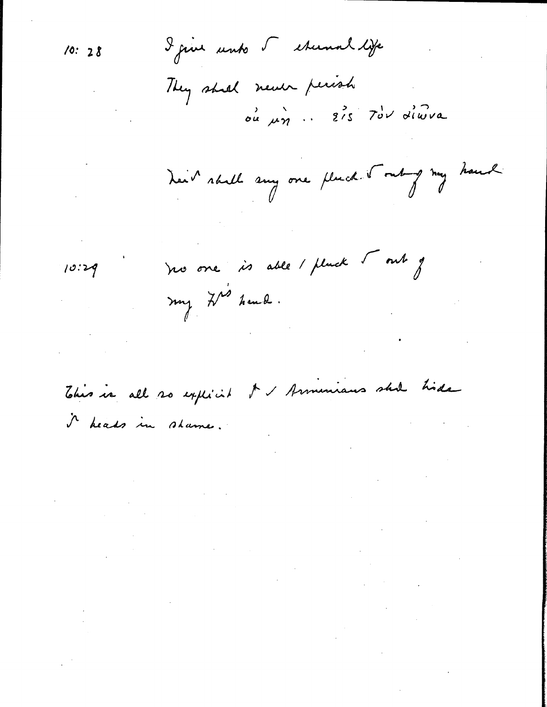$10:28$ 

I give unto 5 eternal life

They shall never perish ou un . 215 Tou diwna

Leit skill any one place. I only my haud

 $\mathcal{L}_{\text{max}}$  and  $\mathcal{L}_{\text{max}}$ 

 $\label{eq:2.1} \frac{1}{\sqrt{2}}\int_{\mathbb{R}^3}\frac{1}{\sqrt{2}}\left(\frac{1}{\sqrt{2}}\right)^2\frac{1}{\sqrt{2}}\left(\frac{1}{\sqrt{2}}\right)^2\frac{1}{\sqrt{2}}\left(\frac{1}{\sqrt{2}}\right)^2\frac{1}{\sqrt{2}}\left(\frac{1}{\sqrt{2}}\right)^2.$ 

 $\label{eq:2.1} \mathcal{L}_{\mathcal{A}}(\mathcal{A})=\mathcal{L}_{\mathcal{A}}(\mathcal{A})\mathcal{L}_{\mathcal{A}}(\mathcal{A})\mathcal{L}_{\mathcal{A}}(\mathcal{A})$ 

 $10:29$ 

ho one is able / plack tout of my ZM heud.

I I Armeniaus shill hide This is all so expected i heads in shame.

 $\mathcal{L}^{\text{max}}_{\text{max}}$  and  $\mathcal{L}^{\text{max}}_{\text{max}}$ 

 $\mathcal{L}(\mathcal{L}^{\mathcal{L}})$  and  $\mathcal{L}^{\mathcal{L}}$  are the set of the set of  $\mathcal{L}^{\mathcal{L}}$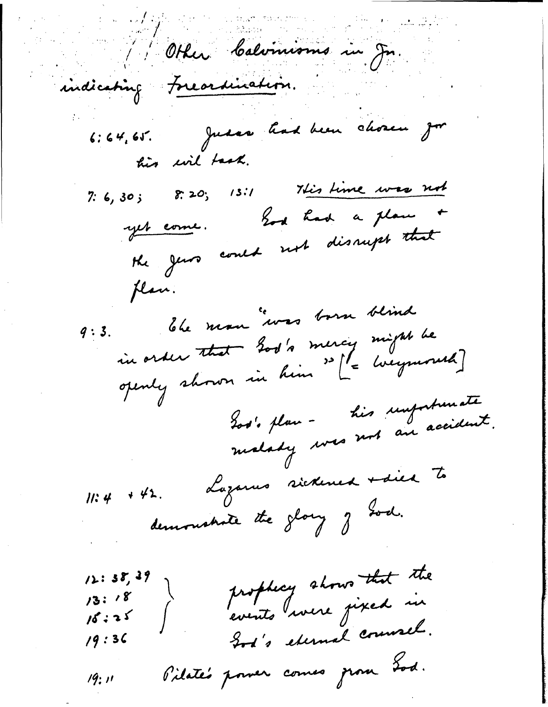Other Calvinisms in Jn indicating Freardmation. 6:64,65. Just had been chosen ju his wil task.  $7: 6, 30;$   $8: 20;$   $13:1$  This time was not yet come. Los had a plan +<br>the georo could not disrupt that plan. Ele man "vous born blind in order that God's mercy might be<br>openly shown in him " [ - wegmonth]  $9:3.$ Los's plan - his importanate Lozarus sickened + died to  $11:4$  + 42. demonstrate the glory of God. prophecy shows that the  $12:38,39$  $13:18$  $16:25$ God's eternal counsel.  $19:36$ Pilate's power comes grow Lod. 19: 11